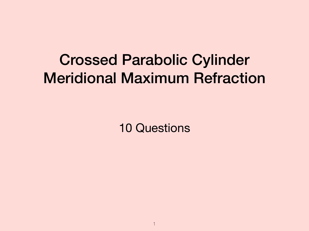## Crossed Parabolic Cylinder Meridional Maximum Refraction

10 Questions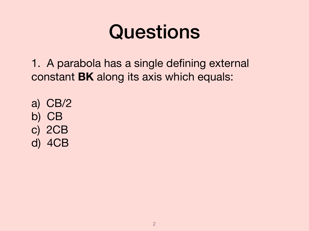# Questions

1. A parabola has a single defining external constant **BK** along its axis which equals:

a) CB/2 b) CB c) 2CB d) 4CB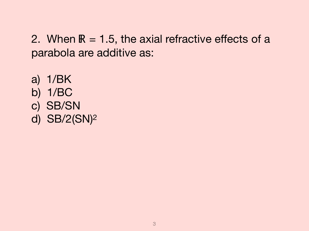2. When  $R = 1.5$ , the axial refractive effects of a parabola are additive as:

a) 1/BK b) 1/BC c) SB/SN d) SB/2(SN)2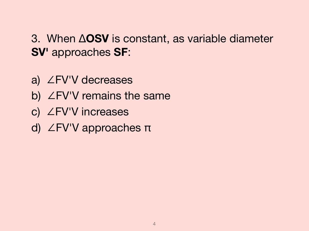3. When Δ**OSV** is constant, as variable diameter **SV'** approaches **SF**:

- a) ∠FV'V decreases
- b) ∠FV'V remains the same
- c) ∠FV'V increases
- d) ∠FV'V approaches π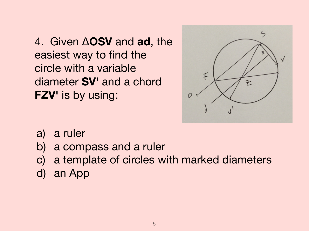4. Given Δ**OSV** and **ad**, the easiest way to find the circle with a variable diameter **SV'** and a chord **FZV'** is by using:



- a) a ruler
- b) a compass and a ruler
- c) a template of circles with marked diameters
- d) an App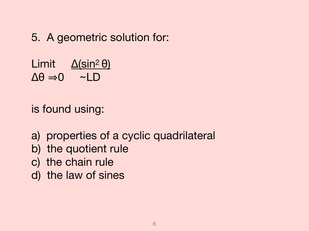#### 5. A geometric solution for:

Limit <u>Δ(sin<sup>2</sup> θ)</u>  $\Delta\theta \Rightarrow 0 \quad \sim$ LD

is found using:

a) properties of a cyclic quadrilateral

- b) the quotient rule
- c) the chain rule
- d) the law of sines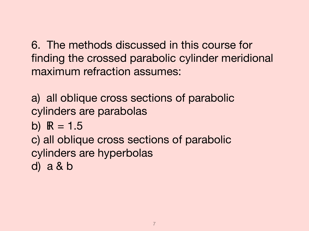6. The methods discussed in this course for finding the crossed parabolic cylinder meridional maximum refraction assumes:

a) all oblique cross sections of parabolic cylinders are parabolas

b)  $R = 1.5$ 

c) all oblique cross sections of parabolic cylinders are hyperbolas d) a & b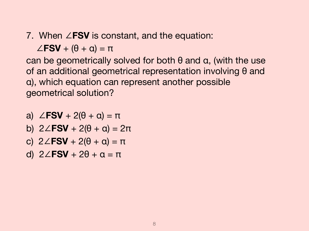#### 7. When ∠**FSV** is constant, and the equation:

 $\angle$ **FSV** + ( $\theta$  +  $\alpha$ ) =  $\pi$ 

can be geometrically solved for both  $\theta$  and  $\alpha$ , (with the use of an additional geometrical representation involving θ and α), which equation can represent another possible geometrical solution?

- a)  $\angle$ **FSV** + 2( $\theta$  + a) =  $\pi$
- b) 2∠**FSV** + 2(θ + α) = 2π
- c) 2∠**FSV** + 2(θ + α) = π
- d) 2∠**FSV** + 2θ + α = π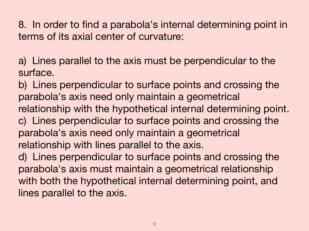8. In order to find a parabola's internal determining point in terms of its axial center of curvature:

a) Lines parallel to the axis must be perpendicular to the surface.

b) Lines perpendicular to surface points and crossing the parabola's axis need only maintain a geometrical relationship with the hypothetical internal determining point. c) Lines perpendicular to surface points and crossing the parabola's axis need only maintain a geometrical relationship with lines parallel to the axis.

d) Lines perpendicular to surface points and crossing the parabola's axis must maintain a geometrical relationship with both the hypothetical internal determining point, and lines parallel to the axis.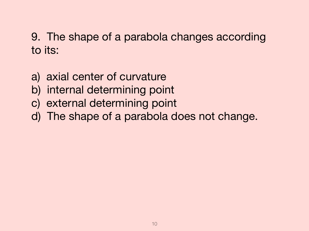### 9. The shape of a parabola changes according to its:

- a) axial center of curvature
- b) internal determining point
- c) external determining point
- d) The shape of a parabola does not change.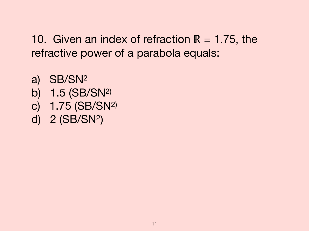10. Given an index of refraction  $\mathbb{R} = 1.75$ , the refractive power of a parabola equals:

- a) SB/SN2 b) 1.5 (SB/SN2) c) 1.75 (SB/SN2)
- d) 2 (SB/SN2)